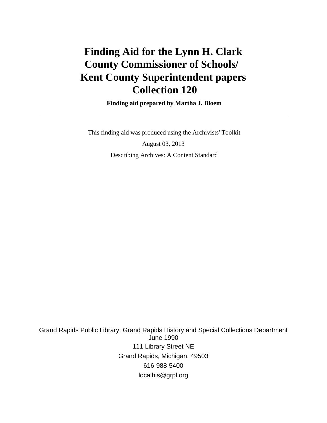# **Finding Aid for the Lynn H. Clark County Commissioner of Schools/ Kent County Superintendent papers Collection 120**

 **Finding aid prepared by Martha J. Bloem**

 This finding aid was produced using the Archivists' Toolkit August 03, 2013 Describing Archives: A Content Standard

Grand Rapids Public Library, Grand Rapids History and Special Collections Department June 1990 111 Library Street NE Grand Rapids, Michigan, 49503 616-988-5400 localhis@grpl.org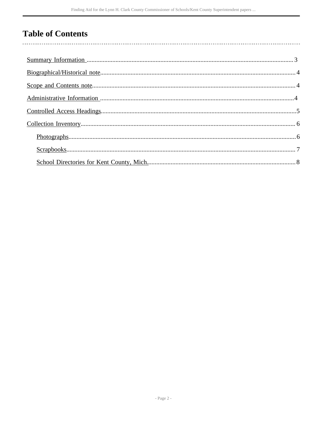## **Table of Contents**

 $\overline{\phantom{a}}$ 

| $Photographs 0.6$ |
|-------------------|
|                   |
|                   |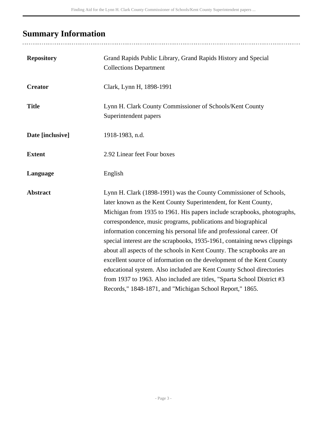## <span id="page-2-0"></span>**Summary Information**

| <b>Repository</b> | Grand Rapids Public Library, Grand Rapids History and Special<br><b>Collections Department</b>                                                                                                                                                                                                                                                                                                                                                                                                                                                                                                                                                                                                                                                                                                          |
|-------------------|---------------------------------------------------------------------------------------------------------------------------------------------------------------------------------------------------------------------------------------------------------------------------------------------------------------------------------------------------------------------------------------------------------------------------------------------------------------------------------------------------------------------------------------------------------------------------------------------------------------------------------------------------------------------------------------------------------------------------------------------------------------------------------------------------------|
| <b>Creator</b>    | Clark, Lynn H, 1898-1991                                                                                                                                                                                                                                                                                                                                                                                                                                                                                                                                                                                                                                                                                                                                                                                |
| <b>Title</b>      | Lynn H. Clark County Commissioner of Schools/Kent County<br>Superintendent papers                                                                                                                                                                                                                                                                                                                                                                                                                                                                                                                                                                                                                                                                                                                       |
| Date [inclusive]  | 1918-1983, n.d.                                                                                                                                                                                                                                                                                                                                                                                                                                                                                                                                                                                                                                                                                                                                                                                         |
| <b>Extent</b>     | 2.92 Linear feet Four boxes                                                                                                                                                                                                                                                                                                                                                                                                                                                                                                                                                                                                                                                                                                                                                                             |
| Language          | English                                                                                                                                                                                                                                                                                                                                                                                                                                                                                                                                                                                                                                                                                                                                                                                                 |
| <b>Abstract</b>   | Lynn H. Clark (1898-1991) was the County Commissioner of Schools,<br>later known as the Kent County Superintendent, for Kent County,<br>Michigan from 1935 to 1961. His papers include scrapbooks, photographs,<br>correspondence, music programs, publications and biographical<br>information concerning his personal life and professional career. Of<br>special interest are the scrapbooks, 1935-1961, containing news clippings<br>about all aspects of the schools in Kent County. The scrapbooks are an<br>excellent source of information on the development of the Kent County<br>educational system. Also included are Kent County School directories<br>from 1937 to 1963. Also included are titles, "Sparta School District #3<br>Records," 1848-1871, and "Michigan School Report," 1865. |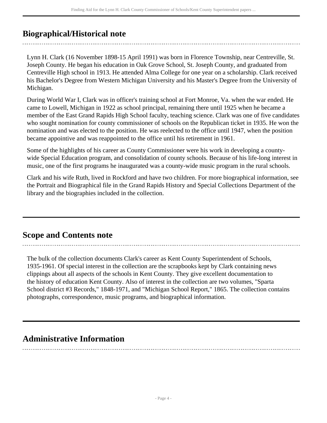### <span id="page-3-0"></span>**Biographical/Historical note**

Lynn H. Clark (16 November 1898-15 April 1991) was born in Florence Township, near Centreville, St. Joseph County. He began his education in Oak Grove School, St. Joseph County, and graduated from Centreville High school in 1913. He attended Alma College for one year on a scholarship. Clark received his Bachelor's Degree from Western Michigan University and his Master's Degree from the University of Michigan.

During World War I, Clark was in officer's training school at Fort Monroe, Va. when the war ended. He came to Lowell, Michigan in 1922 as school principal, remaining there until 1925 when he became a member of the East Grand Rapids High School faculty, teaching science. Clark was one of five candidates who sought nomination for county commissioner of schools on the Republican ticket in 1935. He won the nomination and was elected to the position. He was reelected to the office until 1947, when the position became appointive and was reappointed to the office until his retirement in 1961.

Some of the highlights of his career as County Commissioner were his work in developing a countywide Special Education program, and consolidation of county schools. Because of his life-long interest in music, one of the first programs he inaugurated was a county-wide music program in the rural schools.

Clark and his wife Ruth, lived in Rockford and have two children. For more biographical information, see the Portrait and Biographical file in the Grand Rapids History and Special Collections Department of the library and the biographies included in the collection.

### <span id="page-3-1"></span>**Scope and Contents note**

The bulk of the collection documents Clark's career as Kent County Superintendent of Schools, 1935-1961. Of special interest in the collection are the scrapbooks kept by Clark containing news clippings about all aspects of the schools in Kent County. They give excellent documentation to the history of education Kent County. Also of interest in the collection are two volumes, "Sparta School district #3 Records," 1848-1971, and "Michigan School Report," 1865. The collection contains photographs, correspondence, music programs, and biographical information.

### <span id="page-3-2"></span>**Administrative Information**

- Page 4 -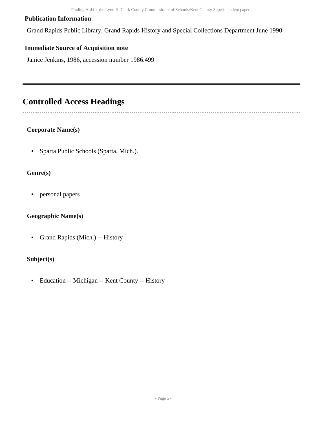#### **Publication Information**

Grand Rapids Public Library, Grand Rapids History and Special Collections Department June 1990

### **Immediate Source of Acquisition note**

Janice Jenkins, 1986, accession number 1986.499

### <span id="page-4-0"></span>**Controlled Access Headings**

### **Corporate Name(s)**

• Sparta Public Schools (Sparta, Mich.).

### **Genre(s)**

• personal papers

### **Geographic Name(s)**

• Grand Rapids (Mich.) -- History

### **Subject(s)**

• Education -- Michigan -- Kent County -- History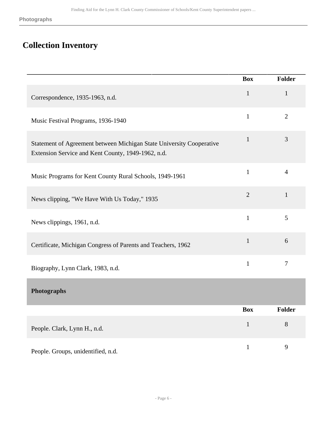## <span id="page-5-0"></span>**Collection Inventory**

<span id="page-5-1"></span>

|                                                                                                                            | <b>Box</b>     | <b>Folder</b>  |
|----------------------------------------------------------------------------------------------------------------------------|----------------|----------------|
| Correspondence, 1935-1963, n.d.                                                                                            | $\mathbf{1}$   | $\mathbf{1}$   |
| Music Festival Programs, 1936-1940                                                                                         | $\mathbf{1}$   | $\overline{2}$ |
| Statement of Agreement between Michigan State University Cooperative<br>Extension Service and Kent County, 1949-1962, n.d. | $\mathbf{1}$   | 3              |
| Music Programs for Kent County Rural Schools, 1949-1961                                                                    | $\mathbf{1}$   | $\overline{4}$ |
| News clipping, "We Have With Us Today," 1935                                                                               | $\overline{2}$ | $\mathbf{1}$   |
| News clippings, 1961, n.d.                                                                                                 | $\mathbf{1}$   | 5              |
| Certificate, Michigan Congress of Parents and Teachers, 1962                                                               | $\mathbf{1}$   | 6              |
| Biography, Lynn Clark, 1983, n.d.                                                                                          | $\mathbf{1}$   | $\overline{7}$ |
| Photographs                                                                                                                |                |                |
|                                                                                                                            | <b>Box</b>     | <b>Folder</b>  |
| People. Clark, Lynn H., n.d.                                                                                               | $\mathbf{1}$   | 8              |
| People. Groups, unidentified, n.d.                                                                                         | $\mathbf{1}$   | 9              |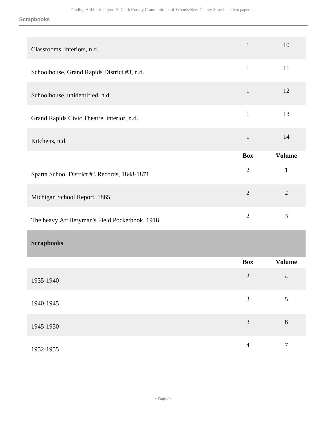**Scrapbooks**

<span id="page-6-0"></span>

| Classrooms, interiors, n.d.                     | $\mathbf{1}$   | 10               |
|-------------------------------------------------|----------------|------------------|
| Schoolhouse, Grand Rapids District #3, n.d.     | $\mathbf{1}$   | 11               |
| Schoolhouse, unidentified, n.d.                 | $\mathbf{1}$   | 12               |
| Grand Rapids Civic Theatre, interior, n.d.      | $\mathbf{1}$   | 13               |
| Kitchens, n.d.                                  | $\mathbf 1$    | 14               |
|                                                 | <b>Box</b>     | <b>Volume</b>    |
| Sparta School District #3 Records, 1848-1871    | $\mathbf{2}$   | $\mathbf{1}$     |
| Michigan School Report, 1865                    | $\sqrt{2}$     | $\overline{2}$   |
| The heavy Artilleryman's Field Pocketbook, 1918 | $\overline{2}$ | 3                |
| <b>Scrapbooks</b>                               |                |                  |
|                                                 | <b>Box</b>     | <b>Volume</b>    |
| 1935-1940                                       | $\overline{2}$ | $\overline{4}$   |
| 1940-1945                                       | $\mathfrak{Z}$ | 5                |
| 1945-1950                                       | 3              | 6                |
| 1952-1955                                       | $\overline{4}$ | $\boldsymbol{7}$ |